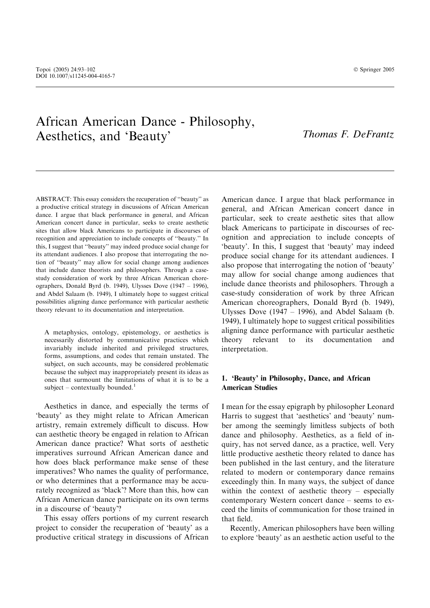# African American Dance - Philosophy, Aesthetics, and 'Beauty' Thomas F. DeFrantz

ABSTRACT: This essay considers the recuperation of ''beauty'' as a productive critical strategy in discussions of African American dance. I argue that black performance in general, and African American concert dance in particular, seeks to create aesthetic sites that allow black Americans to participate in discourses of recognition and appreciation to include concepts of ''beauty.'' In this, I suggest that ''beauty'' may indeed produce social change for its attendant audiences. I also propose that interrogating the notion of ''beauty'' may allow for social change among audiences that include dance theorists and philosophers. Through a casestudy consideration of work by three African American choreographers, Donald Byrd (b. 1949), Ulysses Dove (1947 – 1996), and Abdel Salaam (b. 1949), I ultimately hope to suggest critical possibilities aligning dance performance with particular aesthetic theory relevant to its documentation and interpretation.

A metaphysics, ontology, epistemology, or aesthetics is necessarily distorted by communicative practices which invariably include inherited and privileged structures, forms, assumptions, and codes that remain unstated. The subject, on such accounts, may be considered problematic because the subject may inappropriately present its ideas as ones that surmount the limitations of what it is to be a subject – contextually bounded.<sup>1</sup>

Aesthetics in dance, and especially the terms of 'beauty' as they might relate to African American artistry, remain extremely difficult to discuss. How can aesthetic theory be engaged in relation to African American dance practice? What sorts of aesthetic imperatives surround African American dance and how does black performance make sense of these imperatives? Who names the quality of performance, or who determines that a performance may be accurately recognized as 'black'? More than this, how can African American dance participate on its own terms in a discourse of 'beauty'?

This essay offers portions of my current research project to consider the recuperation of 'beauty' as a productive critical strategy in discussions of African

American dance. I argue that black performance in general, and African American concert dance in particular, seek to create aesthetic sites that allow black Americans to participate in discourses of recognition and appreciation to include concepts of 'beauty'. In this, I suggest that 'beauty' may indeed produce social change for its attendant audiences. I also propose that interrogating the notion of 'beauty' may allow for social change among audiences that include dance theorists and philosophers. Through a case-study consideration of work by three African American choreographers, Donald Byrd (b. 1949), Ulysses Dove (1947 – 1996), and Abdel Salaam (b. 1949), I ultimately hope to suggest critical possibilities aligning dance performance with particular aesthetic theory relevant to its documentation and interpretation.

## 1. 'Beauty' in Philosophy, Dance, and African American Studies

I mean for the essay epigraph by philosopher Leonard Harris to suggest that 'aesthetics' and 'beauty' number among the seemingly limitless subjects of both dance and philosophy. Aesthetics, as a field of inquiry, has not served dance, as a practice, well. Very little productive aesthetic theory related to dance has been published in the last century, and the literature related to modern or contemporary dance remains exceedingly thin. In many ways, the subject of dance within the context of aesthetic theory – especially contemporary Western concert dance – seems to exceed the limits of communication for those trained in that field.

Recently, American philosophers have been willing to explore 'beauty' as an aesthetic action useful to the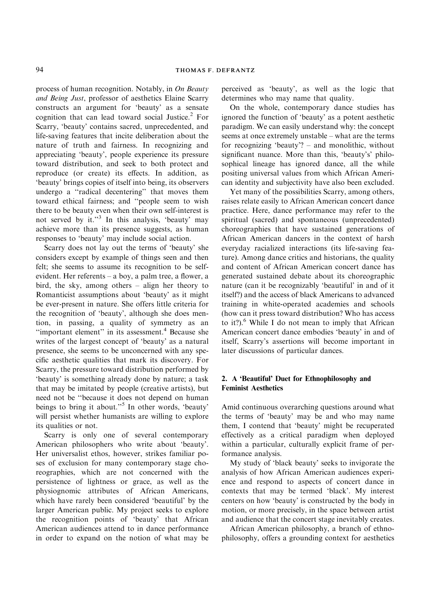process of human recognition. Notably, in On Beauty and Being Just, professor of aesthetics Elaine Scarry constructs an argument for 'beauty' as a sensate cognition that can lead toward social Justice. $2$  For Scarry, 'beauty' contains sacred, unprecedented, and life-saving features that incite deliberation about the nature of truth and fairness. In recognizing and appreciating 'beauty', people experience its pressure toward distribution, and seek to both protect and reproduce (or create) its effects. In addition, as 'beauty' brings copies of itself into being, its observers undergo a ''radical decentering'' that moves them toward ethical fairness; and ''people seem to wish there to be beauty even when their own self-interest is not served by it."<sup>3</sup> In this analysis, 'beauty' may achieve more than its presence suggests, as human responses to 'beauty' may include social action.

Scarry does not lay out the terms of 'beauty' she considers except by example of things seen and then felt; she seems to assume its recognition to be selfevident. Her referents – a boy, a palm tree, a flower, a bird, the sky, among others – align her theory to Romanticist assumptions about 'beauty' as it might be ever-present in nature. She offers little criteria for the recognition of 'beauty', although she does mention, in passing, a quality of symmetry as an "important element" in its assessment.<sup>4</sup> Because she writes of the largest concept of 'beauty' as a natural presence, she seems to be unconcerned with any specific aesthetic qualities that mark its discovery. For Scarry, the pressure toward distribution performed by 'beauty' is something already done by nature; a task that may be imitated by people (creative artists), but need not be ''because it does not depend on human beings to bring it about."<sup>5</sup> In other words, 'beauty' will persist whether humanists are willing to explore its qualities or not.

Scarry is only one of several contemporary American philosophers who write about 'beauty'. Her universalist ethos, however, strikes familiar poses of exclusion for many contemporary stage choreographies, which are not concerned with the persistence of lightness or grace, as well as the physiognomic attributes of African Americans, which have rarely been considered 'beautiful' by the larger American public. My project seeks to explore the recognition points of 'beauty' that African American audiences attend to in dance performance in order to expand on the notion of what may be

perceived as 'beauty', as well as the logic that determines who may name that quality.

On the whole, contemporary dance studies has ignored the function of 'beauty' as a potent aesthetic paradigm. We can easily understand why: the concept seems at once extremely unstable – what are the terms for recognizing 'beauty'? – and monolithic, without significant nuance. More than this, 'beauty's' philosophical lineage has ignored dance, all the while positing universal values from which African American identity and subjectivity have also been excluded.

Yet many of the possibilities Scarry, among others, raises relate easily to African American concert dance practice. Here, dance performance may refer to the spiritual (sacred) and spontaneous (unprecedented) choreographies that have sustained generations of African American dancers in the context of harsh everyday racialized interactions (its life-saving feature). Among dance critics and historians, the quality and content of African American concert dance has generated sustained debate about its choreographic nature (can it be recognizably 'beautiful' in and of it itself?) and the access of black Americans to advanced training in white-operated academies and schools (how can it press toward distribution? Who has access to it?).<sup>6</sup> While I do not mean to imply that African American concert dance embodies 'beauty' in and of itself, Scarry's assertions will become important in later discussions of particular dances.

## 2. A 'Beautiful' Duet for Ethnophilosophy and Feminist Aesthetics

Amid continuous overarching questions around what the terms of 'beauty' may be and who may name them, I contend that 'beauty' might be recuperated effectively as a critical paradigm when deployed within a particular, culturally explicit frame of performance analysis.

My study of 'black beauty' seeks to invigorate the analysis of how African American audiences experience and respond to aspects of concert dance in contexts that may be termed 'black'. My interest centers on how 'beauty' is constructed by the body in motion, or more precisely, in the space between artist and audience that the concert stage inevitably creates.

African American philosophy, a branch of ethnophilosophy, offers a grounding context for aesthetics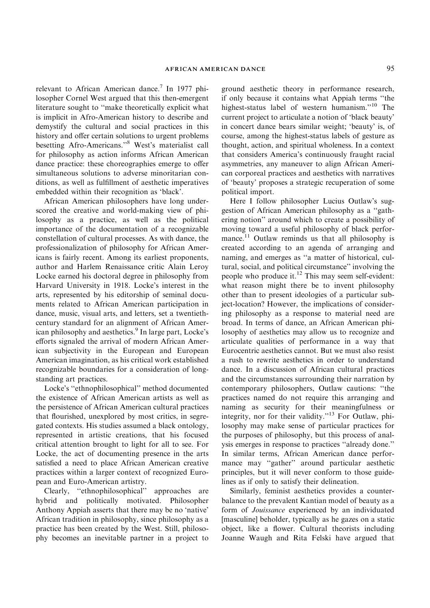relevant to African American dance.<sup>7</sup> In 1977 philosopher Cornel West argued that this then-emergent literature sought to ''make theoretically explicit what is implicit in Afro-American history to describe and demystify the cultural and social practices in this history and offer certain solutions to urgent problems besetting Afro-Americans.''<sup>8</sup> West's materialist call for philosophy as action informs African American dance practice: these choreographies emerge to offer simultaneous solutions to adverse minoritarian conditions, as well as fulfillment of aesthetic imperatives embedded within their recognition as 'black'.

African American philosophers have long underscored the creative and world-making view of philosophy as a practice, as well as the political importance of the documentation of a recognizable constellation of cultural processes. As with dance, the professionalization of philosophy for African Americans is fairly recent. Among its earliest proponents, author and Harlem Renaissance critic Alain Leroy Locke earned his doctoral degree in philosophy from Harvard University in 1918. Locke's interest in the arts, represented by his editorship of seminal documents related to African American participation in dance, music, visual arts, and letters, set a twentiethcentury standard for an alignment of African American philosophy and aesthetics.<sup>9</sup> In large part, Locke's efforts signaled the arrival of modern African American subjectivity in the European and European American imagination, as his critical work established recognizable boundaries for a consideration of longstanding art practices.

Locke's ''ethnophilosophical'' method documented the existence of African American artists as well as the persistence of African American cultural practices that flourished, unexplored by most critics, in segregated contexts. His studies assumed a black ontology, represented in artistic creations, that his focused critical attention brought to light for all to see. For Locke, the act of documenting presence in the arts satisfied a need to place African American creative practices within a larger context of recognized European and Euro-American artistry.

Clearly, ''ethnophilosophical'' approaches are hybrid and politically motivated. Philosopher Anthony Appiah asserts that there may be no 'native' African tradition in philosophy, since philosophy as a practice has been created by the West. Still, philosophy becomes an inevitable partner in a project to

ground aesthetic theory in performance research, if only because it contains what Appiah terms ''the highest-status label of western humanism."<sup>10</sup> The current project to articulate a notion of 'black beauty' in concert dance bears similar weight; 'beauty' is, of course, among the highest-status labels of gesture as thought, action, and spiritual wholeness. In a context that considers America's continuously fraught racial asymmetries, any maneuver to align African American corporeal practices and aesthetics with narratives of 'beauty' proposes a strategic recuperation of some political import.

Here I follow philosopher Lucius Outlaw's suggestion of African American philosophy as a ''gathering notion'' around which to create a possibility of moving toward a useful philosophy of black performance.<sup>11</sup> Outlaw reminds us that all philosophy is created according to an agenda of arranging and naming, and emerges as ''a matter of historical, cultural, social, and political circumstance'' involving the people who produce it.12 This may seem self-evident: what reason might there be to invent philosophy other than to present ideologies of a particular subject-location? However, the implications of considering philosophy as a response to material need are broad. In terms of dance, an African American philosophy of aesthetics may allow us to recognize and articulate qualities of performance in a way that Eurocentric aesthetics cannot. But we must also resist a rush to rewrite aesthetics in order to understand dance. In a discussion of African cultural practices and the circumstances surrounding their narration by contemporary philosophers, Outlaw cautions: ''the practices named do not require this arranging and naming as security for their meaningfulness or integrity, nor for their validity.''<sup>13</sup> For Outlaw, philosophy may make sense of particular practices for the purposes of philosophy, but this process of analysis emerges in response to practices ''already done.'' In similar terms, African American dance performance may ''gather'' around particular aesthetic principles, but it will never conform to those guidelines as if only to satisfy their delineation.

Similarly, feminist aesthetics provides a counterbalance to the prevalent Kantian model of beauty as a form of Jouissance experienced by an individuated [masculine] beholder, typically as he gazes on a static object, like a flower. Cultural theorists including Joanne Waugh and Rita Felski have argued that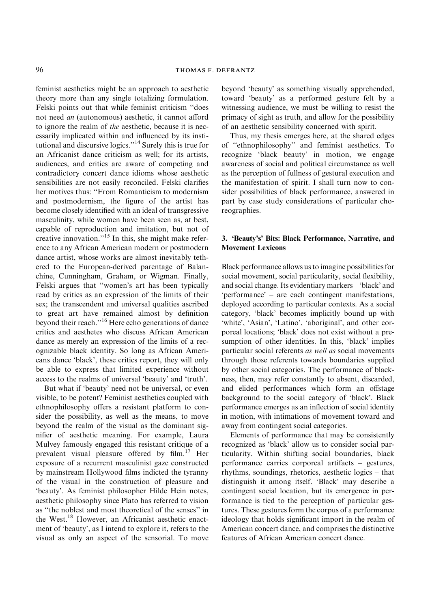feminist aesthetics might be an approach to aesthetic theory more than any single totalizing formulation. Felski points out that while feminist criticism ''does not need an (autonomous) aesthetic, it cannot afford to ignore the realm of the aesthetic, because it is necessarily implicated within and influenced by its institutional and discursive logics.''<sup>14</sup> Surely this is true for an Africanist dance criticism as well; for its artists, audiences, and critics are aware of competing and contradictory concert dance idioms whose aesthetic sensibilities are not easily reconciled. Felski clarifies her motives thus: ''From Romanticism to modernism and postmodernism, the figure of the artist has become closely identified with an ideal of transgressive masculinity, while women have been seen as, at best, capable of reproduction and imitation, but not of creative innovation."<sup>15</sup> In this, she might make reference to any African American modern or postmodern dance artist, whose works are almost inevitably tethered to the European-derived parentage of Balanchine, Cunningham, Graham, or Wigman. Finally, Felski argues that ''women's art has been typically read by critics as an expression of the limits of their sex; the transcendent and universal qualities ascribed to great art have remained almost by definition beyond their reach.''<sup>16</sup> Here echo generations of dance critics and aesthetes who discuss African American dance as merely an expression of the limits of a recognizable black identity. So long as African Americans dance 'black', these critics report, they will only be able to express that limited experience without access to the realms of universal 'beauty' and 'truth'.

But what if 'beauty' need not be universal, or even visible, to be potent? Feminist aesthetics coupled with ethnophilosophy offers a resistant platform to consider the possibility, as well as the means, to move beyond the realm of the visual as the dominant signifier of aesthetic meaning. For example, Laura Mulvey famously engaged this resistant critique of a prevalent visual pleasure offered by film.<sup>17</sup> Her exposure of a recurrent masculinist gaze constructed by mainstream Hollywood films indicted the tyranny of the visual in the construction of pleasure and 'beauty'. As feminist philosopher Hilde Hein notes, aesthetic philosophy since Plato has referred to vision as ''the noblest and most theoretical of the senses'' in the West.<sup>18</sup> However, an Africanist aesthetic enactment of 'beauty', as I intend to explore it, refers to the visual as only an aspect of the sensorial. To move beyond 'beauty' as something visually apprehended, toward 'beauty' as a performed gesture felt by a witnessing audience, we must be willing to resist the primacy of sight as truth, and allow for the possibility of an aesthetic sensibility concerned with spirit.

Thus, my thesis emerges here, at the shared edges of ''ethnophilosophy'' and feminist aesthetics. To recognize 'black beauty' in motion, we engage awareness of social and political circumstance as well as the perception of fullness of gestural execution and the manifestation of spirit. I shall turn now to consider possibilities of black performance, answered in part by case study considerations of particular choreographies.

#### 3. 'Beauty's' Bits: Black Performance, Narrative, and Movement Lexicons

Black performance allows us to imagine possibilities for social movement, social particularity, social flexibility, and social change. Its evidentiary markers – 'black' and 'performance' – are each contingent manifestations, deployed according to particular contexts. As a social category, 'black' becomes implicitly bound up with 'white', 'Asian', 'Latino', 'aboriginal', and other corporeal locations; 'black' does not exist without a presumption of other identities. In this, 'black' implies particular social referents as well as social movements through those referents towards boundaries supplied by other social categories. The performance of blackness, then, may refer constantly to absent, discarded, and elided performances which form an offstage background to the social category of 'black'. Black performance emerges as an inflection of social identity in motion, with intimations of movement toward and away from contingent social categories.

Elements of performance that may be consistently recognized as 'black' allow us to consider social particularity. Within shifting social boundaries, black performance carries corporeal artifacts – gestures, rhythms, soundings, rhetorics, aesthetic logics – that distinguish it among itself. 'Black' may describe a contingent social location, but its emergence in performance is tied to the perception of particular gestures. These gestures form the corpus of a performance ideology that holds significant import in the realm of American concert dance, and comprises the distinctive features of African American concert dance.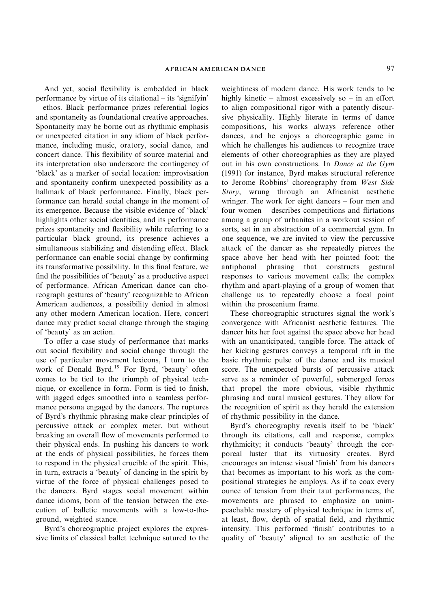And yet, social flexibility is embedded in black performance by virtue of its citational – its 'signifyin' – ethos. Black performance prizes referential logics and spontaneity as foundational creative approaches. Spontaneity may be borne out as rhythmic emphasis or unexpected citation in any idiom of black performance, including music, oratory, social dance, and concert dance. This flexibility of source material and its interpretation also underscore the contingency of 'black' as a marker of social location: improvisation and spontaneity confirm unexpected possibility as a hallmark of black performance. Finally, black performance can herald social change in the moment of its emergence. Because the visible evidence of 'black' highlights other social identities, and its performance prizes spontaneity and flexibility while referring to a particular black ground, its presence achieves a simultaneous stabilizing and distending effect. Black performance can enable social change by confirming its transformative possibility. In this final feature, we find the possibilities of 'beauty' as a productive aspect of performance. African American dance can choreograph gestures of 'beauty' recognizable to African American audiences, a possibility denied in almost any other modern American location. Here, concert dance may predict social change through the staging of 'beauty' as an action.

To offer a case study of performance that marks out social flexibility and social change through the use of particular movement lexicons, I turn to the work of Donald Byrd.<sup>19</sup> For Byrd, 'beauty' often comes to be tied to the triumph of physical technique, or excellence in form. Form is tied to finish, with jagged edges smoothed into a seamless performance persona engaged by the dancers. The ruptures of Byrd's rhythmic phrasing make clear principles of percussive attack or complex meter, but without breaking an overall flow of movements performed to their physical ends. In pushing his dancers to work at the ends of physical possibilities, he forces them to respond in the physical crucible of the spirit. This, in turn, extracts a 'beauty' of dancing in the spirit by virtue of the force of physical challenges posed to the dancers. Byrd stages social movement within dance idioms, born of the tension between the execution of balletic movements with a low-to-theground, weighted stance.

Byrd's choreographic project explores the expressive limits of classical ballet technique sutured to the

weightiness of modern dance. His work tends to be highly kinetic – almost excessively so – in an effort to align compositional rigor with a patently discursive physicality. Highly literate in terms of dance compositions, his works always reference other dances, and he enjoys a choreographic game in which he challenges his audiences to recognize trace elements of other choreographies as they are played out in his own constructions. In Dance at the Gym (1991) for instance, Byrd makes structural reference to Jerome Robbins' choreography from West Side Story, wrung through an Africanist aesthetic wringer. The work for eight dancers – four men and four women – describes competitions and flirtations among a group of urbanites in a workout session of sorts, set in an abstraction of a commercial gym. In one sequence, we are invited to view the percussive attack of the dancer as she repeatedly pierces the space above her head with her pointed foot; the antiphonal phrasing that constructs gestural responses to various movement calls; the complex rhythm and apart-playing of a group of women that challenge us to repeatedly choose a focal point within the proscenium frame.

These choreographic structures signal the work's convergence with Africanist aesthetic features. The dancer hits her foot against the space above her head with an unanticipated, tangible force. The attack of her kicking gestures conveys a temporal rift in the basic rhythmic pulse of the dance and its musical score. The unexpected bursts of percussive attack serve as a reminder of powerful, submerged forces that propel the more obvious, visible rhythmic phrasing and aural musical gestures. They allow for the recognition of spirit as they herald the extension of rhythmic possibility in the dance.

Byrd's choreography reveals itself to be 'black' through its citations, call and response, complex rhythmicity; it conducts 'beauty' through the corporeal luster that its virtuosity creates. Byrd encourages an intense visual 'finish' from his dancers that becomes as important to his work as the compositional strategies he employs. As if to coax every ounce of tension from their taut performances, the movements are phrased to emphasize an unimpeachable mastery of physical technique in terms of, at least, flow, depth of spatial field, and rhythmic intensity. This performed 'finish' contributes to a quality of 'beauty' aligned to an aesthetic of the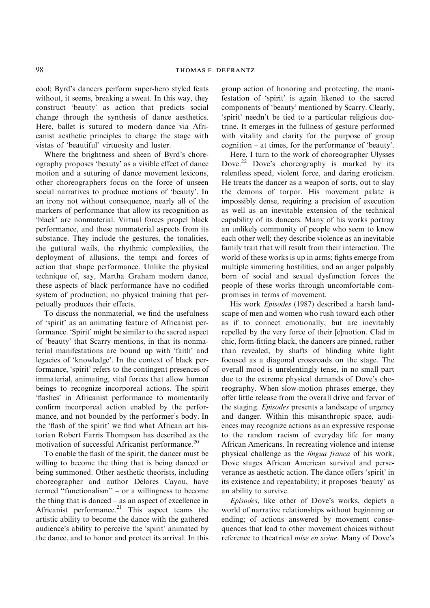cool; Byrd's dancers perform super-hero styled feats without, it seems, breaking a sweat. In this way, they construct 'beauty' as action that predicts social change through the synthesis of dance aesthetics. Here, ballet is sutured to modern dance via Africanist aesthetic principles to charge the stage with vistas of 'beautiful' virtuosity and luster.

Where the brightness and sheen of Byrd's choreography proposes 'beauty' as a visible effect of dance motion and a suturing of dance movement lexicons, other choreographers focus on the force of unseen social narratives to produce motions of 'beauty'. In an irony not without consequence, nearly all of the markers of performance that allow its recognition as 'black' are nonmaterial. Virtual forces propel black performance, and these nonmaterial aspects from its substance. They include the gestures, the tonalities, the guttural wails, the rhythmic complexities, the deployment of allusions, the tempi and forces of action that shape performance. Unlike the physical technique of, say, Martha Graham modern dance, these aspects of black performance have no codified system of production; no physical training that perpetually produces their effects.

To discuss the nonmaterial, we find the usefulness of 'spirit' as an animating feature of Africanist performance. 'Spirit' might be similar to the sacred aspect of 'beauty' that Scarry mentions, in that its nonmaterial manifestations are bound up with 'faith' and legacies of 'knowledge'. In the context of black performance, 'spirit' refers to the contingent presences of immaterial, animating, vital forces that allow human beings to recognize incorporeal actions. The spirit 'flashes' in Africanist performance to momentarily confirm incorporeal action enabled by the performance, and not bounded by the performer's body. In the 'flash of the spirit' we find what African art historian Robert Farris Thompson has described as the motivation of successful Africanist performance.<sup>20</sup>

To enable the flash of the spirit, the dancer must be willing to become the thing that is being danced or being summoned. Other aesthetic theorists, including choreographer and author Delores Cayou, have termed ''functionalism'' – or a willingness to become the thing that is danced – as an aspect of excellence in Africanist performance.<sup>21</sup> This aspect teams the artistic ability to become the dance with the gathered audience's ability to perceive the 'spirit' animated by the dance, and to honor and protect its arrival. In this

group action of honoring and protecting, the manifestation of 'spirit' is again likened to the sacred components of 'beauty' mentioned by Scarry. Clearly, 'spirit' needn't be tied to a particular religious doctrine. It emerges in the fullness of gesture performed with vitality and clarity for the purpose of group cognition – at times, for the performance of 'beauty'.

Here, I turn to the work of choreographer Ulysses Dove.<sup>22</sup> Dove's choreography is marked by its relentless speed, violent force, and daring eroticism. He treats the dancer as a weapon of sorts, out to slay the demons of torpor. His movement palate is impossibly dense, requiring a precision of execution as well as an inevitable extension of the technical capability of its dancers. Many of his works portray an unlikely community of people who seem to know each other well; they describe violence as an inevitable family trait that will result from their interaction. The world of these works is up in arms; fights emerge from multiple simmering hostilities, and an anger palpably born of social and sexual dysfunction forces the people of these works through uncomfortable compromises in terms of movement.

His work Episodes (1987) described a harsh landscape of men and women who rush toward each other as if to connect emotionally, but are inevitably repelled by the very force of their [e]motion. Clad in chic, form-fitting black, the dancers are pinned, rather than revealed, by shafts of blinding white light focused as a diagonal crossroads on the stage. The overall mood is unrelentingly tense, in no small part due to the extreme physical demands of Dove's choreography. When slow-motion phrases emerge, they offer little release from the overall drive and fervor of the staging. Episodes presents a landscape of urgency and danger. Within this misanthropic space, audiences may recognize actions as an expressive response to the random racism of everyday life for many African Americans. In recreating violence and intense physical challenge as the lingua franca of his work, Dove stages African American survival and perseverance as aesthetic action. The dance offers 'spirit' in its existence and repeatability; it proposes 'beauty' as an ability to survive.

Episodes, like other of Dove's works, depicts a world of narrative relationships without beginning or ending; of actions answered by movement consequences that lead to other movement choices without reference to theatrical mise en scène. Many of Dove's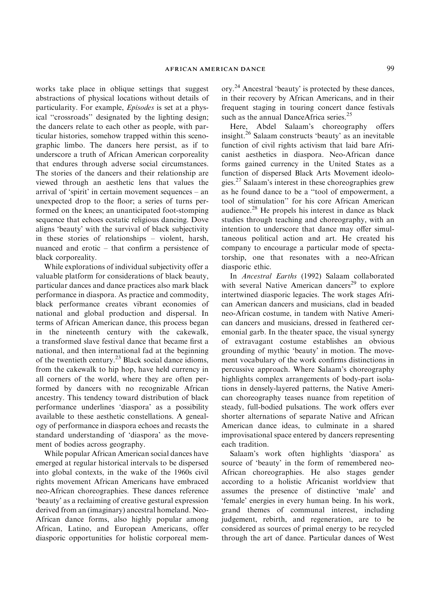works take place in oblique settings that suggest abstractions of physical locations without details of particularity. For example, Episodes is set at a physical ''crossroads'' designated by the lighting design; the dancers relate to each other as people, with particular histories, somehow trapped within this scenographic limbo. The dancers here persist, as if to underscore a truth of African American corporeality that endures through adverse social circumstances. The stories of the dancers and their relationship are viewed through an aesthetic lens that values the arrival of 'spirit' in certain movement sequences – an unexpected drop to the floor; a series of turns performed on the knees; an unanticipated foot-stomping sequence that echoes ecstatic religious dancing. Dove aligns 'beauty' with the survival of black subjectivity in these stories of relationships – violent, harsh, nuanced and erotic – that confirm a persistence of black corporeality.

While explorations of individual subjectivity offer a valuable platform for considerations of black beauty, particular dances and dance practices also mark black performance in diaspora. As practice and commodity, black performance creates vibrant economies of national and global production and dispersal. In terms of African American dance, this process began in the nineteenth century with the cakewalk, a transformed slave festival dance that became first a national, and then international fad at the beginning of the twentieth century.23 Black social dance idioms, from the cakewalk to hip hop, have held currency in all corners of the world, where they are often performed by dancers with no recognizable African ancestry. This tendency toward distribution of black performance underlines 'diaspora' as a possibility available to these aesthetic constellations. A genealogy of performance in diaspora echoes and recasts the standard understanding of 'diaspora' as the movement of bodies across geography.

While popular African American social dances have emerged at regular historical intervals to be dispersed into global contexts, in the wake of the 1960s civil rights movement African Americans have embraced neo-African choreographies. These dances reference 'beauty' as a reclaiming of creative gestural expression derived from an (imaginary) ancestral homeland. Neo-African dance forms, also highly popular among African, Latino, and European Americans, offer diasporic opportunities for holistic corporeal memory.<sup>24</sup> Ancestral 'beauty' is protected by these dances, in their recovery by African Americans, and in their frequent staging in touring concert dance festivals such as the annual DanceAfrica series.<sup>25</sup>

Here, Abdel Salaam's choreography offers insight.<sup>26</sup> Salaam constructs 'beauty' as an inevitable function of civil rights activism that laid bare Africanist aesthetics in diaspora. Neo-African dance forms gained currency in the United States as a function of dispersed Black Arts Movement ideologies.<sup>27</sup> Salaam's interest in these choreographies grew as he found dance to be a ''tool of empowerment, a tool of stimulation'' for his core African American audience.28 He propels his interest in dance as black studies through teaching and choreography, with an intention to underscore that dance may offer simultaneous political action and art. He created his company to encourage a particular mode of spectatorship, one that resonates with a neo-African diasporic ethic.

In Ancestral Earths (1992) Salaam collaborated with several Native American dancers<sup>29</sup> to explore intertwined diasporic legacies. The work stages African American dancers and musicians, clad in beaded neo-African costume, in tandem with Native American dancers and musicians, dressed in feathered ceremonial garb. In the theater space, the visual synergy of extravagant costume establishes an obvious grounding of mythic 'beauty' in motion. The movement vocabulary of the work confirms distinctions in percussive approach. Where Salaam's choreography highlights complex arrangements of body-part isolations in densely-layered patterns, the Native American choreography teases nuance from repetition of steady, full-bodied pulsations. The work offers ever shorter alternations of separate Native and African American dance ideas, to culminate in a shared improvisational space entered by dancers representing each tradition.

Salaam's work often highlights 'diaspora' as source of 'beauty' in the form of remembered neo-African choreographies. He also stages gender according to a holistic Africanist worldview that assumes the presence of distinctive 'male' and 'female' energies in every human being. In his work, grand themes of communal interest, including judgement, rebirth, and regeneration, are to be considered as sources of primal energy to be recycled through the art of dance. Particular dances of West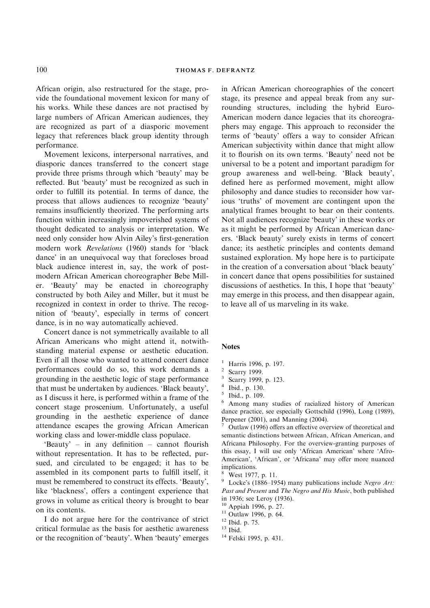African origin, also restructured for the stage, provide the foundational movement lexicon for many of his works. While these dances are not practised by large numbers of African American audiences, they are recognized as part of a diasporic movement legacy that references black group identity through performance.

Movement lexicons, interpersonal narratives, and diasporic dances transferred to the concert stage provide three prisms through which 'beauty' may be reflected. But 'beauty' must be recognized as such in order to fulfill its potential. In terms of dance, the process that allows audiences to recognize 'beauty' remains insufficiently theorized. The performing arts function within increasingly impoverished systems of thought dedicated to analysis or interpretation. We need only consider how Alvin Ailey's first-generation modern work Revelations (1960) stands for 'black dance' in an unequivocal way that forecloses broad black audience interest in, say, the work of postmodern African American choreographer Bebe Miller. 'Beauty' may be enacted in choreography constructed by both Ailey and Miller, but it must be recognized in context in order to thrive. The recognition of 'beauty', especially in terms of concert dance, is in no way automatically achieved.

Concert dance is not symmetrically available to all African Americans who might attend it, notwithstanding material expense or aesthetic education. Even if all those who wanted to attend concert dance performances could do so, this work demands a grounding in the aesthetic logic of stage performance that must be undertaken by audiences. 'Black beauty', as I discuss it here, is performed within a frame of the concert stage proscenium. Unfortunately, a useful grounding in the aesthetic experience of dance attendance escapes the growing African American working class and lower-middle class populace.

'Beauty' – in any definition – cannot flourish without representation. It has to be reflected, pursued, and circulated to be engaged; it has to be assembled in its component parts to fulfill itself, it must be remembered to construct its effects. 'Beauty', like 'blackness', offers a contingent experience that grows in volume as critical theory is brought to bear on its contents.

I do not argue here for the contrivance of strict critical formulae as the basis for aesthetic awareness or the recognition of 'beauty'. When 'beauty' emerges

in African American choreographies of the concert stage, its presence and appeal break from any surrounding structures, including the hybrid Euro-American modern dance legacies that its choreographers may engage. This approach to reconsider the terms of 'beauty' offers a way to consider African American subjectivity within dance that might allow it to flourish on its own terms. 'Beauty' need not be universal to be a potent and important paradigm for group awareness and well-being. 'Black beauty', defined here as performed movement, might allow philosophy and dance studies to reconsider how various 'truths' of movement are contingent upon the analytical frames brought to bear on their contents. Not all audiences recognize 'beauty' in these works or as it might be performed by African American dancers. 'Black beauty' surely exists in terms of concert dance; its aesthetic principles and contents demand sustained exploration. My hope here is to participate in the creation of a conversation about 'black beauty' in concert dance that opens possibilities for sustained discussions of aesthetics. In this, I hope that 'beauty' may emerge in this process, and then disappear again, to leave all of us marveling in its wake.

#### Notes

- 
- 
- 

<sup>1</sup> Harris 1996, p. 197.<br>
<sup>2</sup> Scarry 1999.<br>
<sup>3</sup> Scarry 1999, p. 123.<br>
<sup>4</sup> Ibid., p. 130.<br>
<sup>5</sup> Ibid., p. 109.<br>
<sup>6</sup> Among many studies of racialized history of American dance practice, see especially Gottschild (1996), Long (1989), Perpener (2001), and Manning (2004).

Outlaw (1996) offers an effective overview of theoretical and semantic distinctions between African, African American, and Africana Philosophy. For the overview-granting purposes of this essay, I will use only 'African American' where 'Afro-American', 'African', or 'Africana' may offer more nuanced implications.<br><sup>8</sup> West 1977, p. 11.

Locke's (1886–1954) many publications include Negro Art: Past and Present and The Negro and His Music, both published

in 1936; see Leroy (1936).<br><sup>10</sup> Appiah 1996, p. 27.

<sup>&</sup>lt;sup>11</sup> Outlaw 1996, p. 64.<br><sup>12</sup> Ibid. p. 75.<br><sup>13</sup> Ibid. <sup>14</sup> Felski 1995, p. 431.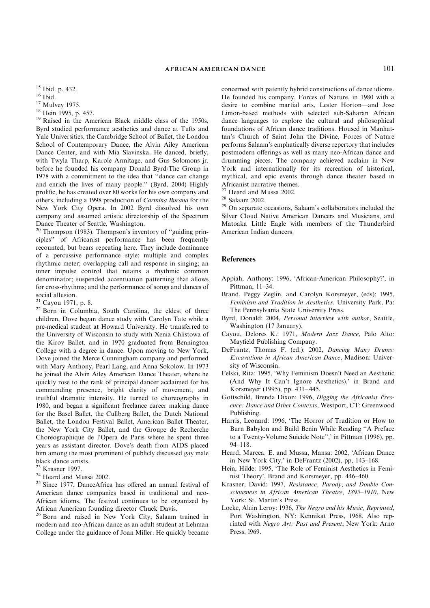<sup>15</sup> Ibid. p. 432.<br><sup>16</sup> Ibid. <sup>17</sup> Mulvey 1975.<br><sup>18</sup> Hein 1995, p. 457. <sup>19</sup> Raised in the American Black middle class of the 1950s, Byrd studied performance aesthetics and dance at Tufts and Yale Universities, the Cambridge School of Ballet, the London School of Contemporary Dance, the Alvin Ailey American Dance Center, and with Mia Slavinska. He danced, briefly, with Twyla Tharp, Karole Armitage, and Gus Solomons jr. before he founded his company Donald Byrd/The Group in 1978 with a commitment to the idea that ''dance can change and enrich the lives of many people.'' (Byrd, 2004) Highly prolific, he has created over 80 works for his own company and others, including a 1998 production of Carmina Burana for the New York City Opera. In 2002 Byrd dissolved his own company and assumed artistic directorship of the Spectrum Dance Theater of Seattle, Washington.

<sup>20</sup> Thompson (1983). Thompson's inventory of ''guiding principles'' of Africanist performance has been frequently recounted, but bears repeating here. They include dominance of a percussive performance style; multiple and complex rhythmic meter; overlapping call and response in singing; an inner impulse control that retains a rhythmic common denominator; suspended accentuation patterning that allows for cross-rhythms; and the performance of songs and dances of social allusion.<br><sup>21</sup> Cayou 1971, p. 8.

 $22$  Born in Columbia, South Carolina, the eldest of three children, Dove began dance study with Carolyn Tate while a pre-medical student at Howard University. He transferred to the University of Wisconsin to study with Xenia Chlistowa of the Kirov Ballet, and in 1970 graduated from Bennington College with a degree in dance. Upon moving to New York, Dove joined the Merce Cunningham company and performed with Mary Anthony, Pearl Lang, and Anna Sokolow. In 1973 he joined the Alvin Ailey American Dance Theater, where he quickly rose to the rank of principal dancer acclaimed for his commanding presence, bright clarity of movement, and truthful dramatic intensity. He turned to choreography in 1980, and began a significant freelance career making dance for the Basel Ballet, the Cullberg Ballet, the Dutch National Ballet, the London Festival Ballet, American Ballet Theater, the New York City Ballet, and the Groupe de Recherche Choreographique de l'Opera de Paris where he spent three years as assistant director. Dove's death from AIDS placed him among the most prominent of publicly discussed gay male black dance artists.<br><sup>23</sup> Krasner 1997.

<sup>24</sup> Heard and Mussa 2002.<br><sup>25</sup> Since 1977, DanceAfrica has offered an annual festival of American dance companies based in traditional and neo-African idioms. The festival continues to be organized by African American founding director Chuck Davis.

<sup>26</sup> Born and raised in New York City, Salaam trained in modern and neo-African dance as an adult student at Lehman College under the guidance of Joan Miller. He quickly became concerned with patently hybrid constructions of dance idioms. He founded his company, Forces of Nature, in 1980 with a desire to combine martial arts, Lester Horton—and Jose Limon-based methods with selected sub-Saharan African dance languages to explore the cultural and philosophical foundations of African dance traditions. Housed in Manhattan's Church of Saint John the Divine, Forces of Nature performs Salaam's emphatically diverse repertory that includes postmodern offerings as well as many neo-African dance and drumming pieces. The company achieved acclaim in New York and internationally for its recreation of historical, mythical, and epic events through dance theater based in Africanist narrative themes.<br><sup>27</sup> Heard and Mussa 2002.

<sup>28</sup> Salaam 2002.<br><sup>29</sup> On separate occasions, Salaam's collaborators included the Silver Cloud Native American Dancers and Musicians, and Matoaka Little Eagle with members of the Thunderbird American Indian dancers.

#### References

- Appiah, Anthony: 1996, 'African-American Philosophy?', in Pittman, 11–34.
- Brand, Peggy Zeglin, and Carolyn Korsmeyer, (eds): 1995, Feminism and Tradition in Aesthetics. University Park, Pa: The Pennsylvania State University Press.
- Byrd, Donald: 2004, Personal interview with author, Seattle, Washington (17 January).
- Cayou, Delores K.: 1971, Modern Jazz Dance, Palo Alto: Mayfield Publishing Company.
- DeFrantz, Thomas F. (ed.): 2002, Dancing Many Drums: Excavations in African American Dance, Madison: University of Wisconsin.
- Felski, Rita: 1995, 'Why Feminism Doesn't Need an Aesthetic (And Why It Can't Ignore Aesthetics),' in Brand and Korsmeyer (1995), pp. 431– 445.
- Gottschild, Brenda Dixon: 1996, Digging the Africanist Presence: Dance and Other Contexts, Westport, CT: Greenwood Publishing.
- Harris, Leonard: 1996, 'The Horror of Tradition or How to Burn Babylon and Build Benin While Reading ''A Preface to a Twenty-Volume Suicide Note'',' in Pittman (1996), pp. 94–118.
- Heard, Marcea. E. and Mussa, Mansa: 2002, 'African Dance in New York City,' in DeFrantz (2002), pp, 143–168.
- Hein, Hilde: 1995, 'The Role of Feminist Aesthetics in Feminist Theory', Brand and Korsmeyer, pp. 446–460.
- Krasner, David: 1997, Resistance, Parody, and Double Consciousness in African American Theatre, 1895–1910, New York: St. Martin's Press.
- Locke, Alain Leroy: 1936, The Negro and his Music, Reprinted, Port Washington, NY: Kennikat Press, 1968. Also reprinted with Negro Art: Past and Present, New York: Arno Press, l969.